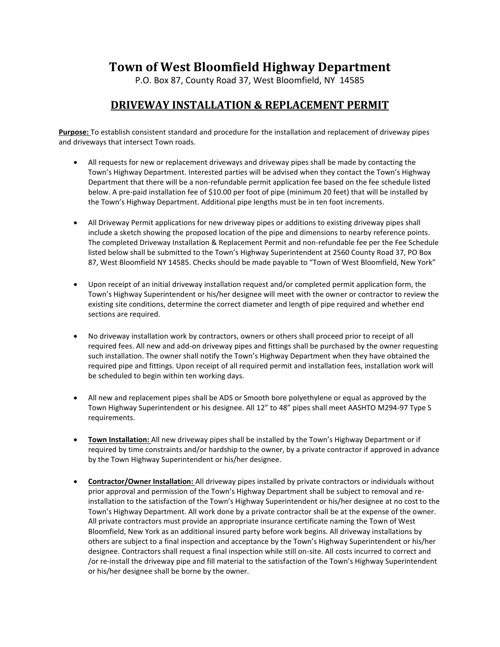## **Town of West Bloomfield Highway Department**

P.O. Box 87, County Road 37, West Bloomfield, NY 14585

## **DRIVEWAY INSTALLATION & REPLACEMENT PERMIT**

**Purpose:** To establish consistent standard and procedure for the installation and replacement of driveway pipes and driveways that intersect Town roads.

- All requests for new or replacement driveways and driveway pipes shall be made by contacting the Town's Highway Department. Interested parties will be advised when they contact the Town's Highway Department that there will be a non-refundable permit application fee based on the fee schedule listed below. A pre-paid installation fee of \$10.00 per foot of pipe (minimum 20 feet) that will be installed by the Town's Highway Department. Additional pipe lengths must be in ten foot increments.
- All Driveway Permit applications for new driveway pipes or additions to existing driveway pipes shall include a sketch showing the proposed location of the pipe and dimensions to nearby reference points. The completed Driveway Installation & Replacement Permit and non-refundable fee per the Fee Schedule listed below shall be submitted to the Town's Highway Superintendent at 2560 County Road 37, PO Box 87, West Bloomfield NY 14585. Checks should be made payable to "Town of West Bloomfield, New York"
- Upon receipt of an initial driveway installation request and/or completed permit application form, the Town's Highway Superintendent or his/her designee will meet with the owner or contractor to review the existing site conditions, determine the correct diameter and length of pipe required and whether end sections are required.
- No driveway installation work by contractors, owners or others shall proceed prior to receipt of all required fees. All new and add-on driveway pipes and fittings shall be purchased by the owner requesting such installation. The owner shall notify the Town's Highway Department when they have obtained the required pipe and fittings. Upon receipt of all required permit and installation fees, installation work will be scheduled to begin within ten working days.
- All new and replacement pipes shall be ADS or Smooth bore polyethylene or equal as approved by the Town Highway Superintendent or his designee. All 12" to 48" pipes shall meet AASHTO M294-97 Type S requirements.
- **Town Installation:** All new driveway pipes shall be installed by the Town's Highway Department or if required by time constraints and/or hardship to the owner, by a private contractor if approved in advance by the Town Highway Superintendent or his/her designee.
- **Contractor/Owner Installation:** All driveway pipes installed by private contractors or individuals without prior approval and permission of the Town's Highway Department shall be subject to removal and reinstallation to the satisfaction of the Town's Highway Superintendent or his/her designee at no cost to the Town's Highway Department. All work done by a private contractor shall be at the expense of the owner. All private contractors must provide an appropriate insurance certificate naming the Town of West Bloomfield, New York as an additional insured party before work begins. All driveway installations by others are subject to a final inspection and acceptance by the Town's Highway Superintendent or his/her designee. Contractors shall request a final inspection while still on-site. All costs incurred to correct and /or re-install the driveway pipe and fill material to the satisfaction of the Town's Highway Superintendent or his/her designee shall be borne by the owner.